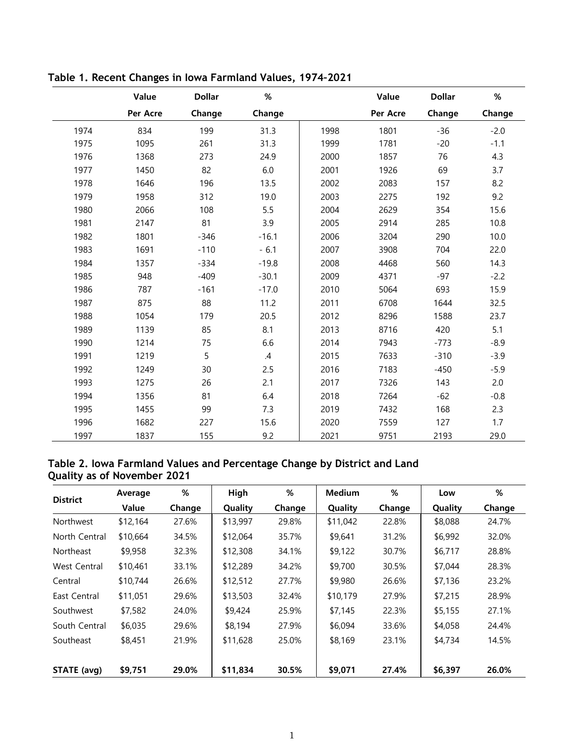|      | Value    | <b>Dollar</b> | $\%$          |      | Value    | <b>Dollar</b> | $\%$   |
|------|----------|---------------|---------------|------|----------|---------------|--------|
|      | Per Acre | Change        | Change        |      | Per Acre | Change        | Change |
| 1974 | 834      | 199           | 31.3          | 1998 | 1801     | $-36$         | $-2.0$ |
| 1975 | 1095     | 261           | 31.3          | 1999 | 1781     | $-20$         | $-1.1$ |
| 1976 | 1368     | 273           | 24.9          | 2000 | 1857     | 76            | 4.3    |
| 1977 | 1450     | 82            | 6.0           | 2001 | 1926     | 69            | 3.7    |
| 1978 | 1646     | 196           | 13.5          | 2002 | 2083     | 157           | 8.2    |
| 1979 | 1958     | 312           | 19.0          | 2003 | 2275     | 192           | 9.2    |
| 1980 | 2066     | 108           | 5.5           | 2004 | 2629     | 354           | 15.6   |
| 1981 | 2147     | 81            | 3.9           | 2005 | 2914     | 285           | 10.8   |
| 1982 | 1801     | $-346$        | $-16.1$       | 2006 | 3204     | 290           | 10.0   |
| 1983 | 1691     | $-110$        | $-6.1$        | 2007 | 3908     | 704           | 22.0   |
| 1984 | 1357     | $-334$        | $-19.8$       | 2008 | 4468     | 560           | 14.3   |
| 1985 | 948      | $-409$        | $-30.1$       | 2009 | 4371     | $-97$         | $-2.2$ |
| 1986 | 787      | $-161$        | $-17.0$       | 2010 | 5064     | 693           | 15.9   |
| 1987 | 875      | 88            | 11.2          | 2011 | 6708     | 1644          | 32.5   |
| 1988 | 1054     | 179           | 20.5          | 2012 | 8296     | 1588          | 23.7   |
| 1989 | 1139     | 85            | 8.1           | 2013 | 8716     | 420           | 5.1    |
| 1990 | 1214     | 75            | 6.6           | 2014 | 7943     | $-773$        | $-8.9$ |
| 1991 | 1219     | 5             | $\mathcal{A}$ | 2015 | 7633     | $-310$        | $-3.9$ |
| 1992 | 1249     | 30            | 2.5           | 2016 | 7183     | $-450$        | $-5.9$ |
| 1993 | 1275     | 26            | 2.1           | 2017 | 7326     | 143           | 2.0    |
| 1994 | 1356     | 81            | 6.4           | 2018 | 7264     | $-62$         | $-0.8$ |
| 1995 | 1455     | 99            | 7.3           | 2019 | 7432     | 168           | 2.3    |
| 1996 | 1682     | 227           | 15.6          | 2020 | 7559     | 127           | 1.7    |
| 1997 | 1837     | 155           | 9.2           | 2021 | 9751     | 2193          | 29.0   |

**Table 1. Recent Changes in Iowa Farmland Values, 1974–2021**

## **Table 2. Iowa Farmland Values and Percentage Change by District and Land Quality as of November 2021**

| <b>District</b> | Average  | %      | %<br>High |        | <b>Medium</b> | %      | Low     | %      |
|-----------------|----------|--------|-----------|--------|---------------|--------|---------|--------|
|                 | Value    | Change | Quality   | Change | Quality       | Change | Quality | Change |
| Northwest       | \$12,164 | 27.6%  | \$13,997  | 29.8%  | \$11,042      | 22.8%  | \$8,088 | 24.7%  |
| North Central   | \$10,664 | 34.5%  | \$12,064  | 35.7%  | \$9,641       | 31.2%  | \$6,992 | 32.0%  |
| Northeast       | \$9,958  | 32.3%  | \$12,308  | 34.1%  | \$9,122       | 30.7%  | \$6,717 | 28.8%  |
| West Central    | \$10,461 | 33.1%  | \$12,289  | 34.2%  | \$9,700       | 30.5%  | \$7,044 | 28.3%  |
| Central         | \$10,744 | 26.6%  | \$12,512  | 27.7%  | \$9,980       | 26.6%  | \$7,136 | 23.2%  |
| East Central    | \$11,051 | 29.6%  | \$13,503  | 32.4%  | \$10,179      | 27.9%  | \$7,215 | 28.9%  |
| Southwest       | \$7,582  | 24.0%  | \$9,424   | 25.9%  | \$7,145       | 22.3%  | \$5,155 | 27.1%  |
| South Central   | \$6,035  | 29.6%  | \$8,194   | 27.9%  | \$6,094       | 33.6%  | \$4,058 | 24.4%  |
| Southeast       | \$8,451  | 21.9%  | \$11,628  | 25.0%  | \$8,169       | 23.1%  | \$4,734 | 14.5%  |
|                 |          |        |           |        |               |        |         |        |
| STATE (avg)     | \$9,751  | 29.0%  | \$11,834  | 30.5%  | \$9,071       | 27.4%  | \$6,397 | 26.0%  |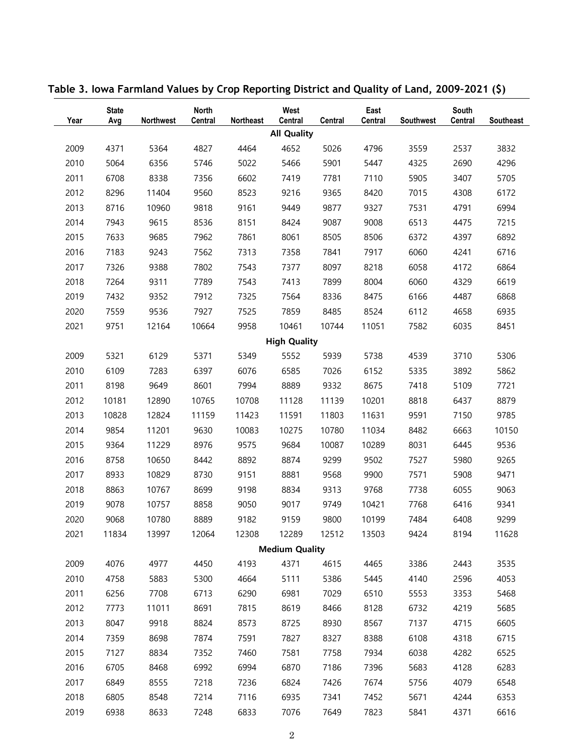| Year                  | <b>State</b><br>Avg | <b>Northwest</b> | <b>North</b><br><b>Central</b> | Northeast | West<br>Central     | Central | East<br><b>Central</b> | Southwest | South<br><b>Central</b> | Southeast |
|-----------------------|---------------------|------------------|--------------------------------|-----------|---------------------|---------|------------------------|-----------|-------------------------|-----------|
|                       |                     |                  |                                |           | <b>All Quality</b>  |         |                        |           |                         |           |
| 2009                  | 4371                | 5364             | 4827                           | 4464      | 4652                | 5026    | 4796                   | 3559      | 2537                    | 3832      |
| 2010                  | 5064                | 6356             | 5746                           | 5022      | 5466                | 5901    | 5447                   | 4325      | 2690                    | 4296      |
| 2011                  | 6708                | 8338             | 7356                           | 6602      | 7419                | 7781    | 7110                   | 5905      | 3407                    | 5705      |
| 2012                  | 8296                | 11404            | 9560                           | 8523      | 9216                | 9365    | 8420                   | 7015      | 4308                    | 6172      |
| 2013                  | 8716                | 10960            | 9818                           | 9161      | 9449                | 9877    | 9327                   | 7531      | 4791                    | 6994      |
| 2014                  | 7943                | 9615             | 8536                           | 8151      | 8424                | 9087    | 9008                   | 6513      | 4475                    | 7215      |
| 2015                  | 7633                | 9685             | 7962                           | 7861      | 8061                | 8505    | 8506                   | 6372      | 4397                    | 6892      |
| 2016                  | 7183                | 9243             | 7562                           | 7313      | 7358                | 7841    | 7917                   | 6060      | 4241                    | 6716      |
| 2017                  | 7326                | 9388             | 7802                           | 7543      | 7377                | 8097    | 8218                   | 6058      | 4172                    | 6864      |
| 2018                  | 7264                | 9311             | 7789                           | 7543      | 7413                | 7899    | 8004                   | 6060      | 4329                    | 6619      |
| 2019                  | 7432                | 9352             | 7912                           | 7325      | 7564                | 8336    | 8475                   | 6166      | 4487                    | 6868      |
| 2020                  | 7559                | 9536             | 7927                           | 7525      | 7859                | 8485    | 8524                   | 6112      | 4658                    | 6935      |
| 2021                  | 9751                | 12164            | 10664                          | 9958      | 10461               | 10744   | 11051                  | 7582      | 6035                    | 8451      |
|                       |                     |                  |                                |           | <b>High Quality</b> |         |                        |           |                         |           |
| 2009                  | 5321                | 6129             | 5371                           | 5349      | 5552                | 5939    | 5738                   | 4539      | 3710                    | 5306      |
| 2010                  | 6109                | 7283             | 6397                           | 6076      | 6585                | 7026    | 6152                   | 5335      | 3892                    | 5862      |
| 2011                  | 8198                | 9649             | 8601                           | 7994      | 8889                | 9332    | 8675                   | 7418      | 5109                    | 7721      |
| 2012                  | 10181               | 12890            | 10765                          | 10708     | 11128               | 11139   | 10201                  | 8818      | 6437                    | 8879      |
| 2013                  | 10828               | 12824            | 11159                          | 11423     | 11591               | 11803   | 11631                  | 9591      | 7150                    | 9785      |
| 2014                  | 9854                | 11201            | 9630                           | 10083     | 10275               | 10780   | 11034                  | 8482      | 6663                    | 10150     |
| 2015                  | 9364                | 11229            | 8976                           | 9575      | 9684                | 10087   | 10289                  | 8031      | 6445                    | 9536      |
| 2016                  | 8758                | 10650            | 8442                           | 8892      | 8874                | 9299    | 9502                   | 7527      | 5980                    | 9265      |
| 2017                  | 8933                | 10829            | 8730                           | 9151      | 8881                | 9568    | 9900                   | 7571      | 5908                    | 9471      |
| 2018                  | 8863                | 10767            | 8699                           | 9198      | 8834                | 9313    | 9768                   | 7738      | 6055                    | 9063      |
| 2019                  | 9078                | 10757            | 8858                           | 9050      | 9017                | 9749    | 10421                  | 7768      | 6416                    | 9341      |
| 2020                  | 9068                | 10780            | 8889                           | 9182      | 9159                | 9800    | 10199                  | 7484      | 6408                    | 9299      |
| 2021                  | 11834               | 13997            | 12064                          | 12308     | 12289               | 12512   | 13503                  | 9424      | 8194                    | 11628     |
| <b>Medium Quality</b> |                     |                  |                                |           |                     |         |                        |           |                         |           |
| 2009                  | 4076                | 4977             | 4450                           | 4193      | 4371                | 4615    | 4465                   | 3386      | 2443                    | 3535      |
| 2010                  | 4758                | 5883             | 5300                           | 4664      | 5111                | 5386    | 5445                   | 4140      | 2596                    | 4053      |
| 2011                  | 6256                | 7708             | 6713                           | 6290      | 6981                | 7029    | 6510                   | 5553      | 3353                    | 5468      |
| 2012                  | 7773                | 11011            | 8691                           | 7815      | 8619                | 8466    | 8128                   | 6732      | 4219                    | 5685      |
| 2013                  | 8047                | 9918             | 8824                           | 8573      | 8725                | 8930    | 8567                   | 7137      | 4715                    | 6605      |
| 2014                  | 7359                | 8698             | 7874                           | 7591      | 7827                | 8327    | 8388                   | 6108      | 4318                    | 6715      |
| 2015                  | 7127                | 8834             | 7352                           | 7460      | 7581                | 7758    | 7934                   | 6038      | 4282                    | 6525      |
| 2016                  | 6705                | 8468             | 6992                           | 6994      | 6870                | 7186    | 7396                   | 5683      | 4128                    | 6283      |
| 2017                  | 6849                | 8555             | 7218                           | 7236      | 6824                | 7426    | 7674                   | 5756      | 4079                    | 6548      |
| 2018                  | 6805                | 8548             | 7214                           | 7116      | 6935                | 7341    | 7452                   | 5671      | 4244                    | 6353      |
| 2019                  | 6938                | 8633             | 7248                           | 6833      | 7076                | 7649    | 7823                   | 5841      | 4371                    | 6616      |

**Table 3. Iowa Farmland Values by Crop Reporting District and Quality of Land, 2009–2021 (\$)**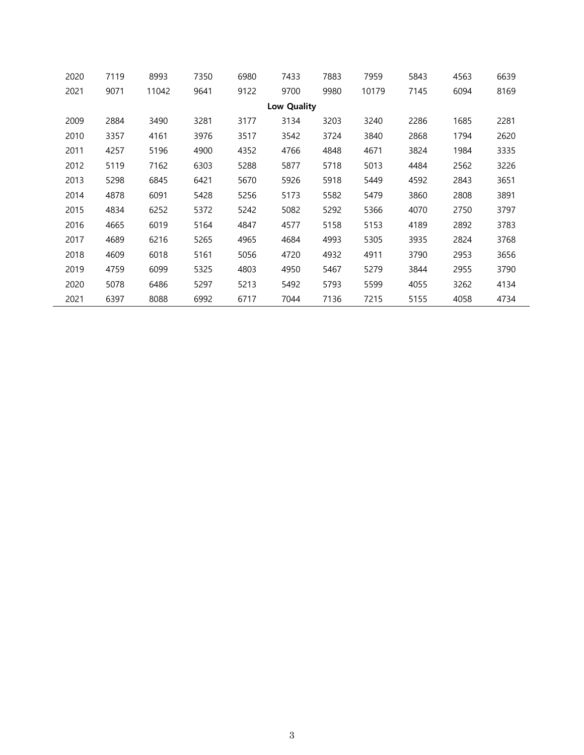| 2020 | 7119        | 8993  | 7350 | 6980 | 7433 | 7883 | 7959  | 5843 | 4563 | 6639 |  |
|------|-------------|-------|------|------|------|------|-------|------|------|------|--|
| 2021 | 9071        | 11042 | 9641 | 9122 | 9700 | 9980 | 10179 | 7145 | 6094 | 8169 |  |
|      | Low Quality |       |      |      |      |      |       |      |      |      |  |
| 2009 | 2884        | 3490  | 3281 | 3177 | 3134 | 3203 | 3240  | 2286 | 1685 | 2281 |  |
| 2010 | 3357        | 4161  | 3976 | 3517 | 3542 | 3724 | 3840  | 2868 | 1794 | 2620 |  |
| 2011 | 4257        | 5196  | 4900 | 4352 | 4766 | 4848 | 4671  | 3824 | 1984 | 3335 |  |
| 2012 | 5119        | 7162  | 6303 | 5288 | 5877 | 5718 | 5013  | 4484 | 2562 | 3226 |  |
| 2013 | 5298        | 6845  | 6421 | 5670 | 5926 | 5918 | 5449  | 4592 | 2843 | 3651 |  |
| 2014 | 4878        | 6091  | 5428 | 5256 | 5173 | 5582 | 5479  | 3860 | 2808 | 3891 |  |
| 2015 | 4834        | 6252  | 5372 | 5242 | 5082 | 5292 | 5366  | 4070 | 2750 | 3797 |  |
| 2016 | 4665        | 6019  | 5164 | 4847 | 4577 | 5158 | 5153  | 4189 | 2892 | 3783 |  |
| 2017 | 4689        | 6216  | 5265 | 4965 | 4684 | 4993 | 5305  | 3935 | 2824 | 3768 |  |
| 2018 | 4609        | 6018  | 5161 | 5056 | 4720 | 4932 | 4911  | 3790 | 2953 | 3656 |  |
| 2019 | 4759        | 6099  | 5325 | 4803 | 4950 | 5467 | 5279  | 3844 | 2955 | 3790 |  |
| 2020 | 5078        | 6486  | 5297 | 5213 | 5492 | 5793 | 5599  | 4055 | 3262 | 4134 |  |
| 2021 | 6397        | 8088  | 6992 | 6717 | 7044 | 7136 | 7215  | 5155 | 4058 | 4734 |  |

 $\overline{\phantom{a}}$